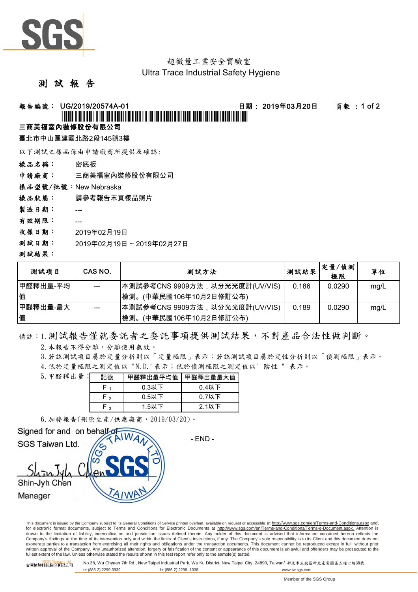

#### 超微量工業安全實驗室 Ultra Trace Industrial Safety Hygiene

### 測 試 報 告

## 報告編號: UG/2019/20574A-01 日期: 2019年03月20日 頁數 : 1 of 2

# \*UG/2019/20574A-01\*

#### 三商美福室內裝修股份有限公司

臺北市中山區建國北路2段145號3樓

以下測試之樣品係由申請廠商所提供及確認:

樣品名稱: 密底板

申請廠商: 三商美福室內裝修股份有限公司

樣品型號/批號:New Nebraska

樣品狀態: 請參考報告末頁樣品照片

製造日期: ---

- 有效期限: ---
- 收樣日期: 2019年02月19日
- 測試日期: 2019年02月19日 ~ 2019年02月27日

#### 測試結果:

| 测試項目      | CAS NO. | 測試方法                            | 测試結果  | 定量/偵測<br>極限 | 單位   |
|-----------|---------|---------------------------------|-------|-------------|------|
| ┃甲醛釋出量-平均 | $- - -$ | ┃本測試參考CNS 9909方法,以分光光度計(UV/VIS) | 0.186 | 0.0290      | mg/L |
| 值         |         | (中華民國106年10月2日修訂公布)<br>Ⅰ檢測。     |       |             |      |
| 甲醛釋出量-最大  | $---$   | 本測試參考CNS 9909方法,以分光光度計(UV/VIS)  | 0.189 | 0.0290      | mg/L |
| 值         |         | 檢測。<br>(中華民國106年10月2日修訂公布)      |       |             |      |

備註:1.測試報告僅就委託者之委託事項提供測試結果,不對產品合法性做判斷。

2.本報告不得分離,分離使用無效。

3.若該測試項目屬於定量分析則以「定量極限」表示;若該測試項目屬於定性分析則以「偵測極限」表示。

4.低於定量極限之測定值以 "N.D."表示;低於偵測極限之測定值以" 陰性 " 表示。

| 5. 甲醛釋出量: | 記號     | 甲醛釋出量平均值 | 甲醛釋出量最大值 |  |
|-----------|--------|----------|----------|--|
|           |        | $0.3$ 以下 | $0.4$ 以下 |  |
|           | $\sim$ | $0.5$ 以下 | $0.7$ 以下 |  |
|           | ົ      | 1.5以下    | $2.1$ 以下 |  |

6.加發報告(刪除生產/供應廠商,2019/03/20)。



This document is issued by the Company subject to its General Conditions of Service printed overleaf, available on request or accessible at http://www.sgs.com/en/Terms-and-Conditions.aspx and, for electronic format documents, subject to Terms and Conditions for Electronic Documents at http://www.sgs.com/en/Terms-and-Conditions/Terms-e-Document.aspx. Attention is drawn to the limitation of liability, indemnification and jurisdiction issues defined therein. Any holder of this document is advised that information contained hereon reflects the<br>Company's findings at the time of its int exonerate parties to a transaction from exercising all their rights and obligations under the transaction documents. This document cannot be reproduced except in full, without prior written approval of the Company. Any unauthorized alteration, forgery or falsification of the content or appearance of this document is unlawful and offenders may be prosecuted to the<br>fullest extent of the law. Unless othe

台灣檢驗科技股<mark>公司 No.38, Wu Chyuan 7th Rd., New Taipei Industrial Park, Wu Ku District, New Taipei City, 24890, Taiwan/ 新北市五股區新北產業園區五權七路38號<br>台灣檢驗科技股份有限公司</mark> t+ (886-2) 2299-3939 f+ (886-2) 2298 -1338 www.tw.sgs.com